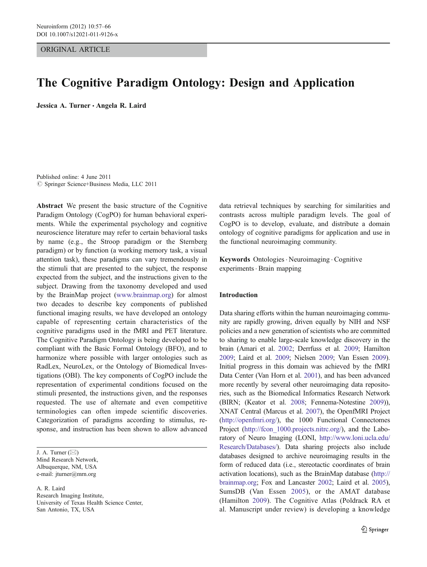ORIGINAL ARTICLE

# The Cognitive Paradigm Ontology: Design and Application

Jessica A. Turner · Angela R. Laird

Published online: 4 June 2011  $©$  Springer Science+Business Media, LLC 2011

Abstract We present the basic structure of the Cognitive Paradigm Ontology (CogPO) for human behavioral experiments. While the experimental psychology and cognitive neuroscience literature may refer to certain behavioral tasks by name (e.g., the Stroop paradigm or the Sternberg paradigm) or by function (a working memory task, a visual attention task), these paradigms can vary tremendously in the stimuli that are presented to the subject, the response expected from the subject, and the instructions given to the subject. Drawing from the taxonomy developed and used by the BrainMap project [\(www.brainmap.org\)](http://www.brainmap.org) for almost two decades to describe key components of published functional imaging results, we have developed an ontology capable of representing certain characteristics of the cognitive paradigms used in the fMRI and PET literature. The Cognitive Paradigm Ontology is being developed to be compliant with the Basic Formal Ontology (BFO), and to harmonize where possible with larger ontologies such as RadLex, NeuroLex, or the Ontology of Biomedical Investigations (OBI). The key components of CogPO include the representation of experimental conditions focused on the stimuli presented, the instructions given, and the responses requested. The use of alternate and even competitive terminologies can often impede scientific discoveries. Categorization of paradigms according to stimulus, response, and instruction has been shown to allow advanced

J. A. Turner  $(\boxtimes)$ Mind Research Network, Albuquerque, NM, USA e-mail: jturner@mrn.org

A. R. Laird Research Imaging Institute, University of Texas Health Science Center, San Antonio, TX, USA

data retrieval techniques by searching for similarities and contrasts across multiple paradigm levels. The goal of CogPO is to develop, evaluate, and distribute a domain ontology of cognitive paradigms for application and use in the functional neuroimaging community.

Keywords Ontologies · Neuroimaging · Cognitive experiments . Brain mapping

# Introduction

Data sharing efforts within the human neuroimaging community are rapidly growing, driven equally by NIH and NSF policies and a new generation of scientists who are committed to sharing to enable large-scale knowledge discovery in the brain (Amari et al. [2002;](#page-8-0) Derrfuss et al. [2009;](#page-8-0) Hamilton [2009;](#page-9-0) Laird et al. [2009;](#page-9-0) Nielsen [2009;](#page-9-0) Van Essen [2009\)](#page-9-0). Initial progress in this domain was achieved by the fMRI Data Center (Van Horn et al. [2001\)](#page-9-0), and has been advanced more recently by several other neuroimaging data repositories, such as the Biomedical Informatics Research Network (BIRN; (Keator et al. [2008](#page-9-0); Fennema-Notestine [2009](#page-8-0))), XNAT Central (Marcus et al. [2007](#page-9-0)), the OpenfMRI Project [\(http://openfmri.org/](http://openfmri.org/)), the 1000 Functional Connectomes Project [\(http://fcon\\_1000.projects.nitrc.org/](http://fcon_1000.projects.nitrc.org/)), and the Laboratory of Neuro Imaging (LONI, [http://www.loni.ucla.edu/](http://www.loni.ucla.edu/Research/Databases/) [Research/Databases/](http://www.loni.ucla.edu/Research/Databases/)). Data sharing projects also include databases designed to archive neuroimaging results in the form of reduced data (i.e., stereotactic coordinates of brain activation locations), such as the BrainMap database [\(http://](http://brainmap.org) [brainmap.org](http://brainmap.org); Fox and Lancaster [2002](#page-8-0); Laird et al. [2005\)](#page-9-0), SumsDB (Van Essen [2005](#page-9-0)), or the AMAT database (Hamilton [2009\)](#page-9-0). The Cognitive Atlas (Poldrack RA et al. Manuscript under review) is developing a knowledge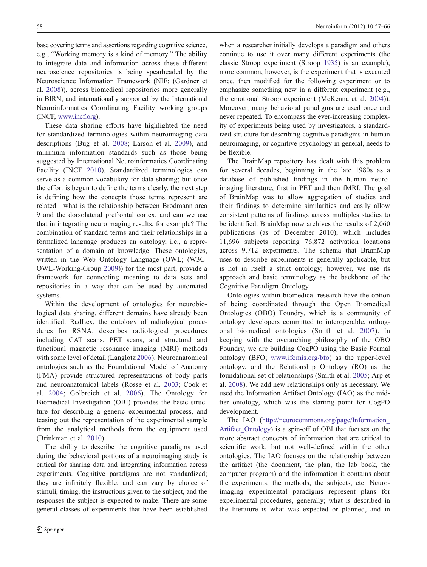base covering terms and assertions regarding cognitive science, e.g., "Working memory is a kind of memory." The ability to integrate data and information across these different neuroscience repositories is being spearheaded by the Neuroscience Information Framework (NIF; (Gardner et al. [2008\)](#page-9-0)), across biomedical repositories more generally in BIRN, and internationally supported by the International Neuroinformatics Coordinating Facility working groups (INCF, [www.incf.org\)](http://www.incf.org).

These data sharing efforts have highlighted the need for standardized terminologies within neuroimaging data descriptions (Bug et al. [2008](#page-8-0); Larson et al. [2009](#page-9-0)), and minimum information standards such as those being suggested by International Neuroinformatics Coordinating Facility (INCF [2010](#page-9-0)). Standardized terminologies can serve as a common vocabulary for data sharing; but once the effort is begun to define the terms clearly, the next step is defining how the concepts those terms represent are related—what is the relationship between Brodmann area 9 and the dorsolateral prefrontal cortex, and can we use that in integrating neuroimaging results, for example? The combination of standard terms and their relationships in a formalized language produces an ontology, i.e., a representation of a domain of knowledge. These ontologies, written in the Web Ontology Language (OWL; (W3C-OWL-Working-Group [2009](#page-9-0))) for the most part, provide a framework for connecting meaning to data sets and repositories in a way that can be used by automated systems.

Within the development of ontologies for neurobiological data sharing, different domains have already been identified. RadLex, the ontology of radiological procedures for RSNA, describes radiological procedures including CAT scans, PET scans, and structural and functional magnetic resonance imaging (MRI) methods with some level of detail (Langlotz [2006](#page-9-0)). Neuroanatomical ontologies such as the Foundational Model of Anatomy (FMA) provide structured representations of body parts and neuroanatomical labels (Rosse et al. [2003](#page-9-0); Cook et al. [2004](#page-8-0); Golbreich et al. [2006\)](#page-9-0). The Ontology for Biomedical Investigation (OBI) provides the basic structure for describing a generic experimental process, and teasing out the representation of the experimental sample from the analytical methods from the equipment used (Brinkman et al. [2010\)](#page-8-0).

The ability to describe the cognitive paradigms used during the behavioral portions of a neuroimaging study is critical for sharing data and integrating information across experiments. Cognitive paradigms are not standardized; they are infinitely flexible, and can vary by choice of stimuli, timing, the instructions given to the subject, and the responses the subject is expected to make. There are some general classes of experiments that have been established

when a researcher initially develops a paradigm and others continue to use it over many different experiments (the classic Stroop experiment (Stroop [1935\)](#page-9-0) is an example); more common, however, is the experiment that is executed once, then modified for the following experiment or to emphasize something new in a different experiment (e.g., the emotional Stroop experiment (McKenna et al. [2004](#page-9-0))). Moreover, many behavioral paradigms are used once and never repeated. To encompass the ever-increasing complexity of experiments being used by investigators, a standardized structure for describing cognitive paradigms in human neuroimaging, or cognitive psychology in general, needs to be flexible.

The BrainMap repository has dealt with this problem for several decades, beginning in the late 1980s as a database of published findings in the human neuroimaging literature, first in PET and then fMRI. The goal of BrainMap was to allow aggregation of studies and their findings to determine similarities and easily allow consistent patterns of findings across multiples studies to be identified. BrainMap now archives the results of 2,060 publications (as of December 2010), which includes 11,696 subjects reporting 76,872 activation locations across 9,712 experiments. The schema that BrainMap uses to describe experiments is generally applicable, but is not in itself a strict ontology; however, we use its approach and basic terminology as the backbone of the Cognitive Paradigm Ontology.

Ontologies within biomedical research have the option of being coordinated through the Open Biomedical Ontologies (OBO) Foundry, which is a community of ontology developers committed to interoperable, orthogonal biomedical ontologies (Smith et al. [2007](#page-9-0)). In keeping with the overarching philosophy of the OBO Foundry, we are building CogPO using the Basic Formal ontology (BFO; [www.ifomis.org/bfo\)](http://www.ifomis.org/bfo) as the upper-level ontology, and the Relationship Ontology (RO) as the foundational set of relationships (Smith et al. [2005;](#page-9-0) Arp et al. [2008](#page-8-0)). We add new relationships only as necessary. We used the Information Artifact Ontology (IAO) as the midtier ontology, which was the starting point for CogPO development.

The IAO ([http://neurocommons.org/page/Information\\_](http://neurocommons.org/page/Information_Artifact_Ontology) [Artifact\\_Ontology\)](http://neurocommons.org/page/Information_Artifact_Ontology) is a spin-off of OBI that focuses on the more abstract concepts of information that are critical to scientific work, but not well-defined within the other ontologies. The IAO focuses on the relationship between the artifact (the document, the plan, the lab book, the computer program) and the information it contains about the experiments, the methods, the subjects, etc. Neuroimaging experimental paradigms represent plans for experimental procedures, generally; what is described in the literature is what was expected or planned, and in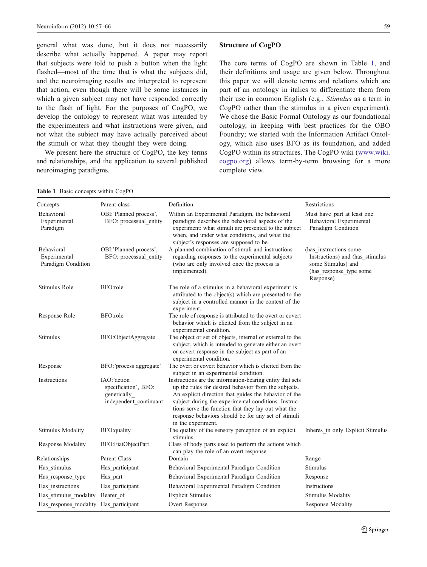general what was done, but it does not necessarily describe what actually happened. A paper may report that subjects were told to push a button when the light flashed—most of the time that is what the subjects did, and the neuroimaging results are interpreted to represent that action, even though there will be some instances in which a given subject may not have responded correctly to the flash of light. For the purposes of CogPO, we develop the ontology to represent what was intended by the experimenters and what instructions were given, and not what the subject may have actually perceived about the stimuli or what they thought they were doing.

We present here the structure of CogPO, the key terms and relationships, and the application to several published neuroimaging paradigms.

#### Structure of CogPO

The core terms of CogPO are shown in Table 1, and their definitions and usage are given below. Throughout this paper we will denote terms and relations which are part of an ontology in italics to differentiate them from their use in common English (e.g., Stimulus as a term in CogPO rather than the stimulus in a given experiment). We chose the Basic Formal Ontology as our foundational ontology, in keeping with best practices for the OBO Foundry; we started with the Information Artifact Ontology, which also uses BFO as its foundation, and added CogPO within its structures. The CogPO wiki ([www.wiki.](http://www.wiki.cogpo.org) [cogpo.org](http://www.wiki.cogpo.org)) allows term-by-term browsing for a more complete view.

#### Table 1 Basic concepts within CogPO

Concepts Parent class Definition Restrictions Behavioral Experimental Paradigm OBI:'Planned process', BFO: processual\_entity Within an Experimental Paradigm, the behavioral paradigm describes the behavioral aspects of the experiment: what stimuli are presented to the subject when, and under what conditions, and what the subject's responses are supposed to be. Must have\_part at least one Behavioral Experimental Paradigm Condition Behavioral Experimental Paradigm Condition OBI:'Planned process', BFO: processual\_entity A planned combination of stimuli and instructions regarding responses to the experimental subjects (who are only involved once the process is implemented). (has\_instructions some Instructions) and (has\_stimulus some Stimulus) and (has\_response\_type some Response) Stimulus Role BFO:role The role of a stimulus in a behavioral experiment is attributed to the object(s) which are presented to the subject in a controlled manner in the context of the experiment. Response Role BFO:role The role of response is attributed to the overt or covert behavior which is elicited from the subject in an experimental condition. Stimulus BFO:ObjectAggregate The object or set of objects, internal or external to the subject, which is intended to generate either an overt or covert response in the subject as part of an experimental condition. Response BFO:'process aggregate' The overt or covert behavior which is elicited from the subject in an experimental condition. Instructions IAO:'action specification', BFO: generically\_ independent\_continuant Instructions are the information-bearing entity that sets up the rules for desired behavior from the subjects. An explicit direction that guides the behavior of the subject during the experimental conditions. Instructions serve the function that they lay out what the response behaviors should be for any set of stimuli in the experiment. Stimulus Modality BFO:quality The quality of the sensory perception of an explicit stimulus. Inheres\_in only Explicit Stimulus Response Modality BFO:FiatObjectPart Class of body parts used to perform the actions which can play the role of an overt response Relationships Parent Class Domain Domain Range Has\_stimulus Has\_participant Behavioral Experimental Paradigm Condition Stimulus Has\_response\_type Has\_part Behavioral Experimental Paradigm Condition Response Has\_instructions Has\_participant Behavioral Experimental Paradigm Condition Instructions Has stimulus modality Bearer of Explicit Stimulus Stimulus Modality Stimulus Modality Has response modality Has participant Overt Response Access Presponse Response Modality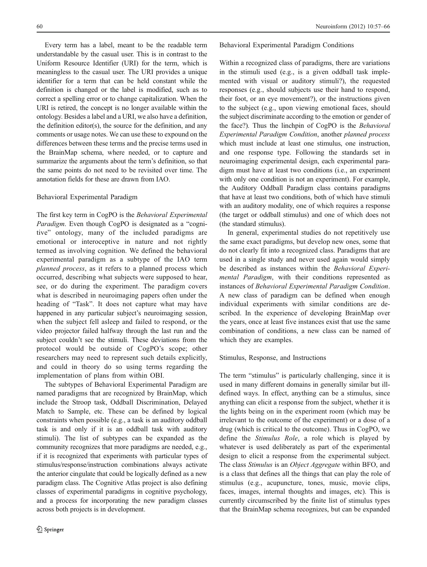Every term has a label, meant to be the readable term understandable by the casual user. This is in contrast to the Uniform Resource Identifier (URI) for the term, which is meaningless to the casual user. The URI provides a unique identifier for a term that can be held constant while the definition is changed or the label is modified, such as to correct a spelling error or to change capitalization. When the URI is retired, the concept is no longer available within the ontology. Besides a label and a URI, we also have a definition, the definition editor(s), the source for the definition, and any comments or usage notes. We can use these to expound on the differences between these terms and the precise terms used in the BrainMap schema, where needed, or to capture and summarize the arguments about the term's definition, so that the same points do not need to be revisited over time. The annotation fields for these are drawn from IAO.

# Behavioral Experimental Paradigm

The first key term in CogPO is the Behavioral Experimental Paradigm. Even though CogPO is designated as a "cognitive" ontology, many of the included paradigms are emotional or interoceptive in nature and not rightly termed as involving cognition. We defined the behavioral experimental paradigm as a subtype of the IAO term planned process, as it refers to a planned process which occurred, describing what subjects were supposed to hear, see, or do during the experiment. The paradigm covers what is described in neuroimaging papers often under the heading of "Task". It does not capture what may have happened in any particular subject's neuroimaging session, when the subject fell asleep and failed to respond, or the video projector failed halfway through the last run and the subject couldn't see the stimuli. These deviations from the protocol would be outside of CogPO's scope; other researchers may need to represent such details explicitly, and could in theory do so using terms regarding the implementation of plans from within OBI.

The subtypes of Behavioral Experimental Paradigm are named paradigms that are recognized by BrainMap, which include the Stroop task, Oddball Discrimination, Delayed Match to Sample, etc. These can be defined by logical constraints when possible (e.g., a task is an auditory oddball task is and only if it is an oddball task with auditory stimuli). The list of subtypes can be expanded as the community recognizes that more paradigms are needed, e.g., if it is recognized that experiments with particular types of stimulus/response/instruction combinations always activate the anterior cingulate that could be logically defined as a new paradigm class. The Cognitive Atlas project is also defining classes of experimental paradigms in cognitive psychology, and a process for incorporating the new paradigm classes across both projects is in development.

Behavioral Experimental Paradigm Conditions

Within a recognized class of paradigms, there are variations in the stimuli used (e.g., is a given oddball task implemented with visual or auditory stimuli?), the requested responses (e.g., should subjects use their hand to respond, their foot, or an eye movement?), or the instructions given to the subject (e.g., upon viewing emotional faces, should the subject discriminate according to the emotion or gender of the face?). Thus the linchpin of CogPO is the Behavioral Experimental Paradigm Condition, another planned process which must include at least one stimulus, one instruction, and one response type. Following the standards set in neuroimaging experimental design, each experimental paradigm must have at least two conditions (i.e., an experiment with only one condition is not an experiment). For example, the Auditory Oddball Paradigm class contains paradigms that have at least two conditions, both of which have stimuli with an auditory modality, one of which requires a response (the target or oddball stimulus) and one of which does not (the standard stimulus).

In general, experimental studies do not repetitively use the same exact paradigms, but develop new ones, some that do not clearly fit into a recognized class. Paradigms that are used in a single study and never used again would simply be described as instances within the Behavioral Experimental Paradigm, with their conditions represented as instances of Behavioral Experimental Paradigm Condition. A new class of paradigm can be defined when enough individual experiments with similar conditions are described. In the experience of developing BrainMap over the years, once at least five instances exist that use the same combination of conditions, a new class can be named of which they are examples.

# Stimulus, Response, and Instructions

The term "stimulus" is particularly challenging, since it is used in many different domains in generally similar but illdefined ways. In effect, anything can be a stimulus, since anything can elicit a response from the subject, whether it is the lights being on in the experiment room (which may be irrelevant to the outcome of the experiment) or a dose of a drug (which is critical to the outcome). Thus in CogPO, we define the Stimulus Role, a role which is played by whatever is used deliberately as part of the experimental design to elicit a response from the experimental subject. The class Stimulus is an Object Aggregate within BFO, and is a class that defines all the things that can play the role of stimulus (e.g., acupuncture, tones, music, movie clips, faces, images, internal thoughts and images, etc). This is currently circumscribed by the finite list of stimulus types that the BrainMap schema recognizes, but can be expanded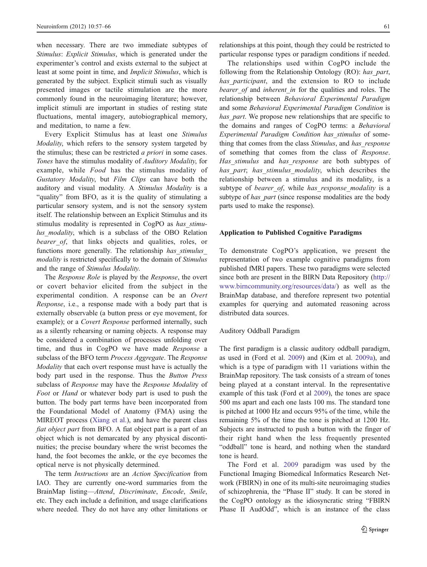when necessary. There are two immediate subtypes of Stimulus: Explicit Stimulus, which is generated under the experimenter's control and exists external to the subject at least at some point in time, and *Implicit Stimulus*, which is generated by the subject. Explicit stimuli such as visually presented images or tactile stimulation are the more commonly found in the neuroimaging literature; however, implicit stimuli are important in studies of resting state fluctuations, mental imagery, autobiographical memory, and meditation, to name a few.

Every Explicit Stimulus has at least one Stimulus Modality, which refers to the sensory system targeted by the stimulus; these can be restricted *a priori* in some cases. Tones have the stimulus modality of Auditory Modality, for example, while Food has the stimulus modality of Gustatory Modality, but Film Clips can have both the auditory and visual modality. A Stimulus Modality is a "quality" from BFO, as it is the quality of stimulating a particular sensory system, and is not the sensory system itself. The relationship between an Explicit Stimulus and its stimulus modality is represented in CogPO as has stimulus modality, which is a subclass of the OBO Relation bearer of, that links objects and qualities, roles, or functions more generally. The relationship has stimulus modality is restricted specifically to the domain of Stimulus and the range of Stimulus Modality.

The Response Role is played by the Response, the overt or covert behavior elicited from the subject in the experimental condition. A response can be an Overt Response, i.e., a response made with a body part that is externally observable (a button press or eye movement, for example); or a Covert Response performed internally, such as a silently rehearsing or naming objects. A response may be considered a combination of processes unfolding over time, and thus in CogPO we have made Response a subclass of the BFO term Process Aggregate. The Response Modality that each overt response must have is actually the body part used in the response. Thus the Button Press subclass of Response may have the Response Modality of Foot or Hand or whatever body part is used to push the button. The body part terms have been incorporated from the Foundational Model of Anatomy (FMA) using the MIREOT process ([Xiang et al.\)](#page-9-0), and have the parent class fiat object part from BFO. A fiat object part is a part of an object which is not demarcated by any physical discontinuities; the precise boundary where the wrist becomes the hand, the foot becomes the ankle, or the eye becomes the optical nerve is not physically determined.

The term Instructions are an Action Specification from IAO. They are currently one-word summaries from the BrainMap listing—Attend, Discriminate, Encode, Smile, etc. They each include a definition, and usage clarifications where needed. They do not have any other limitations or relationships at this point, though they could be restricted to particular response types or paradigm conditions if needed.

The relationships used within CogPO include the following from the Relationship Ontology (RO): has part, has participant, and the extension to RO to include bearer of and inherent in for the qualities and roles. The relationship between Behavioral Experimental Paradigm and some Behavioral Experimental Paradigm Condition is has *part*. We propose new relationships that are specific to the domains and ranges of CogPO terms: a Behavioral Experimental Paradigm Condition has\_stimulus of something that comes from the class Stimulus, and has response of something that comes from the class of Response. Has stimulus and has response are both subtypes of has part; has stimulus modality, which describes the relationship between a stimulus and its modality, is a subtype of bearer\_of, while has response modality is a subtype of has part (since response modalities are the body parts used to make the response).

### Application to Published Cognitive Paradigms

To demonstrate CogPO's application, we present the representation of two example cognitive paradigms from published fMRI papers. These two paradigms were selected since both are present in the BIRN Data Repository ([http://](http://www.birncommunity.org/resources/data/) [www.birncommunity.org/resources/data/\)](http://www.birncommunity.org/resources/data/) as well as the BrainMap database, and therefore represent two potential examples for querying and automated reasoning across distributed data sources.

# Auditory Oddball Paradigm

The first paradigm is a classic auditory oddball paradigm, as used in (Ford et al. [2009\)](#page-8-0) and (Kim et al. [2009a](#page-9-0)), and which is a type of paradigm with 11 variations within the BrainMap repository. The task consists of a stream of tones being played at a constant interval. In the representative example of this task (Ford et al [2009\)](#page-8-0), the tones are space 500 ms apart and each one lasts 100 ms. The standard tone is pitched at 1000 Hz and occurs 95% of the time, while the remaining 5% of the time the tone is pitched at 1200 Hz. Subjects are instructed to push a button with the finger of their right hand when the less frequently presented "oddball" tone is heard, and nothing when the standard tone is heard.

The Ford et al. [2009](#page-8-0) paradigm was used by the Functional Imaging Biomedical Informatics Research Network (FBIRN) in one of its multi-site neuroimaging studies of schizophrenia, the "Phase II" study. It can be stored in the CogPO ontology as the idiosyncratic string "FBIRN Phase II AudOdd", which is an instance of the class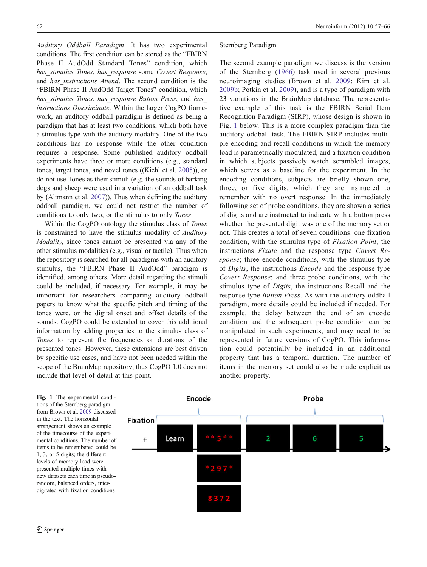Auditory Oddball Paradigm. It has two experimental conditions. The first condition can be stored as the "FBIRN Phase II AudOdd Standard Tones" condition, which has stimulus Tones, has response some Covert Response, and has instructions Attend. The second condition is the "FBIRN Phase II AudOdd Target Tones" condition, which has stimulus Tones, has response Button Press, and has instructions Discriminate. Within the larger CogPO framework, an auditory oddball paradigm is defined as being a paradigm that has at least two conditions, which both have a stimulus type with the auditory modality. One of the two conditions has no response while the other condition requires a response. Some published auditory oddball experiments have three or more conditions (e.g., standard tones, target tones, and novel tones ((Kiehl et al. [2005](#page-9-0))), or do not use Tones as their stimuli (e.g. the sounds of barking dogs and sheep were used in a variation of an oddball task by (Altmann et al. [2007\)](#page-8-0)). Thus when defining the auditory oddball paradigm, we could not restrict the number of conditions to only two, or the stimulus to only Tones.

Within the CogPO ontology the stimulus class of Tones is constrained to have the stimulus modality of Auditory Modality, since tones cannot be presented via any of the other stimulus modalities (e.g., visual or tactile). Thus when the repository is searched for all paradigms with an auditory stimulus, the "FBIRN Phase II AudOdd" paradigm is identified, among others. More detail regarding the stimuli could be included, if necessary. For example, it may be important for researchers comparing auditory oddball papers to know what the specific pitch and timing of the tones were, or the digital onset and offset details of the sounds. CogPO could be extended to cover this additional information by adding properties to the stimulus class of Tones to represent the frequencies or durations of the presented tones. However, these extensions are best driven by specific use cases, and have not been needed within the scope of the BrainMap repository; thus CogPO 1.0 does not include that level of detail at this point.

#### Sternberg Paradigm

The second example paradigm we discuss is the version of the Sternberg [\(1966](#page-9-0)) task used in several previous neuroimaging studies (Brown et al. [2009](#page-8-0); Kim et al. [2009b;](#page-9-0) Potkin et al. [2009](#page-9-0)), and is a type of paradigm with 23 variations in the BrainMap database. The representative example of this task is the FBIRN Serial Item Recognition Paradigm (SIRP), whose design is shown in Fig. 1 below. This is a more complex paradigm than the auditory oddball task. The FBIRN SIRP includes multiple encoding and recall conditions in which the memory load is parametrically modulated, and a fixation condition in which subjects passively watch scrambled images, which serves as a baseline for the experiment. In the encoding conditions, subjects are briefly shown one, three, or five digits, which they are instructed to remember with no overt response. In the immediately following set of probe conditions, they are shown a series of digits and are instructed to indicate with a button press whether the presented digit was one of the memory set or not. This creates a total of seven conditions: one fixation condition, with the stimulus type of Fixation Point, the instructions Fixate and the response type Covert Response; three encode conditions, with the stimulus type of Digits, the instructions Encode and the response type Covert Response; and three probe conditions, with the stimulus type of *Digits*, the instructions Recall and the response type Button Press. As with the auditory oddball paradigm, more details could be included if needed. For example, the delay between the end of an encode condition and the subsequent probe condition can be manipulated in such experiments, and may need to be represented in future versions of CogPO. This information could potentially be included in an additional property that has a temporal duration. The number of items in the memory set could also be made explicit as another property.

Fig. 1 The experimental conditions of the Sternberg paradigm from Brown et al. [2009](#page-8-0) discussed in the text. The horizontal arrangement shows an example of the timecourse of the experimental conditions. The number of items to be remembered could be 1, 3, or 5 digits; the different levels of memory load were presented multiple times with new datasets each time in pseudorandom, balanced orders, interdigitated with fixation conditions

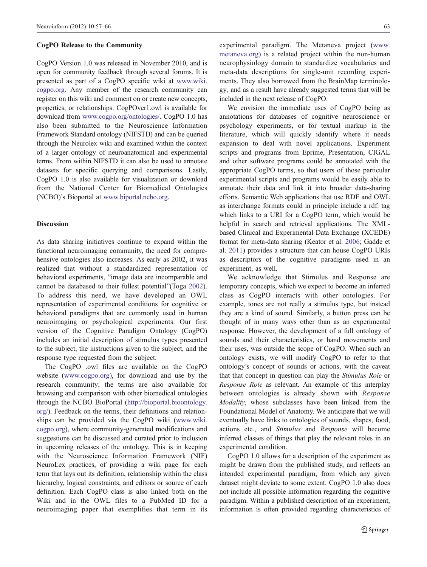#### CogPO Release to the Community

CogPO Version 1.0 was released in November 2010, and is open for community feedback through several forums. It is presented as part of a CogPO specific wiki at [www.wiki.](http://www.wiki.cogpo.org) [cogpo.org](http://www.wiki.cogpo.org). Any member of the research community can register on this wiki and comment on or create new concepts, properties, or relationships. CogPOver1.owl is available for download from [www.cogpo.org/ontologies/.](http://www.cogpo.org/ontologies/) CogPO 1.0 has also been submitted to the Neuroscience Information Framework Standard ontology (NIFSTD) and can be queried through the Neurolex wiki and examined within the context of a larger ontology of neuroanatomical and experimental terms. From within NIFSTD it can also be used to annotate datasets for specific querying and comparisons. Lastly, CogPO 1.0 is also available for visualization or download from the National Center for Biomedical Ontologies (NCBO)'s Bioportal at [www.biportal.ncbo.org.](http://www.biportal.ncbo.org)

## Discussion

As data sharing initiatives continue to expand within the functional neuroimaging community, the need for comprehensive ontologies also increases. As early as 2002, it was realized that without a standardized representation of behavioral experiments, "image data are incomparable and cannot be databased to their fullest potential"(Toga [2002](#page-9-0)). To address this need, we have developed an OWL representation of experimental conditions for cognitive or behavioral paradigms that are commonly used in human neuroimaging or psychological experiments. Our first version of the Cognitive Paradigm Ontology (CogPO) includes an initial description of stimulus types presented to the subject, the instructions given to the subject, and the response type requested from the subject.

The CogPO .owl files are available on the CogPO website [\(www.cogpo.org\)](http://www.cogpo.org), for download and use by the research community; the terms are also available for browsing and comparison with other biomedical ontologies through the NCBO BioPortal ([http://bioportal.bioontology.](http://bioportal.bioontology.org/) [org/\)](http://bioportal.bioontology.org/). Feedback on the terms, their definitions and relationships can be provided via the CogPO wiki ([www.wiki.](http://www.wiki.cogpo.org) [cogpo.org\)](http://www.wiki.cogpo.org), where community-generated modifications and suggestions can be discussed and curated prior to inclusion in upcoming releases of the ontology. This is in keeping with the Neuroscience Information Framework (NIF) NeuroLex practices, of providing a wiki page for each term that lays out its definition, relationship within the class hierarchy, logical constraints, and editors or source of each definition. Each CogPO class is also linked both on the Wiki and in the OWL files to a PubMed ID for a neuroimaging paper that exemplifies that term in its

experimental paradigm. The Metaneva project ([www.](http://www.metaneva.org) [metaneva.org\)](http://www.metaneva.org) is a related project within the non-human neurophysiology domain to standardize vocabularies and meta-data descriptions for single-unit recording experiments. They also borrowed from the BrainMap terminology, and as a result have already suggested terms that will be included in the next release of CogPO.

We envision the immediate uses of CogPO being as annotations for databases of cognitive neuroscience or psychology experiments, or for textual markup in the literature, which will quickly identify where it needs expansion to deal with novel applications. Experiment scripts and programs from Eprime, Presentation, CIGAL and other software programs could be annotated with the appropriate CogPO terms, so that users of those particular experimental scripts and programs would be easily able to annotate their data and link it into broader data-sharing efforts. Semantic Web applications that use RDF and OWL as interchange formats could in principle include a rdf: tag which links to a URI for a CogPO term, which would be helpful in search and retrieval applications. The XMLbased Clinical and Experimental Data Exchange (XCEDE) format for meta-data sharing (Keator et al. [2006;](#page-9-0) Gadde et al. [2011\)](#page-9-0) provides a structure that can house CogPO URIs as descriptors of the cognitive paradigms used in an experiment, as well.

We acknowledge that Stimulus and Response are temporary concepts, which we expect to become an inferred class as CogPO interacts with other ontologies. For example, tones are not really a stimulus type, but instead they are a kind of sound. Similarly, a button press can be thought of in many ways other than as an experimental response. However, the development of a full ontology of sounds and their characteristics, or hand movements and their uses, was outside the scope of CogPO. When such an ontology exists, we will modify CogPO to refer to that ontology's concept of sounds or actions, with the caveat that that concept in question can play the Stimulus Role or Response Role as relevant. An example of this interplay between ontologies is already shown with Response Modality, whose subclasses have been linked from the Foundational Model of Anatomy. We anticipate that we will eventually have links to ontologies of sounds, shapes, food, actions etc., and Stimulus and Response will become inferred classes of things that play the relevant roles in an experimental condition.

CogPO 1.0 allows for a description of the experiment as might be drawn from the published study, and reflects an intended experimental paradigm, from which any given dataset might deviate to some extent. CogPO 1.0 also does not include all possible information regarding the cognitive paradigm. Within a published description of an experiment, information is often provided regarding characteristics of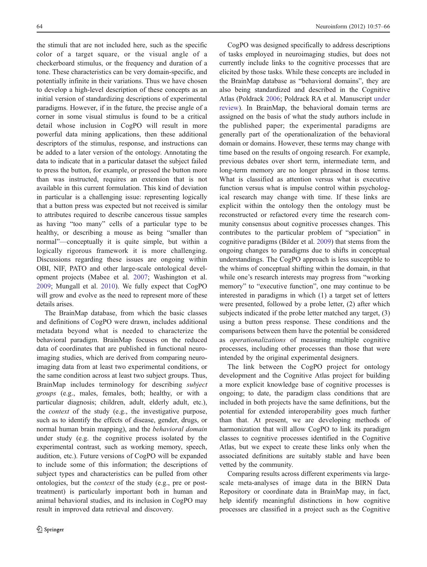the stimuli that are not included here, such as the specific color of a target square, or the visual angle of a checkerboard stimulus, or the frequency and duration of a tone. These characteristics can be very domain-specific, and potentially infinite in their variations. Thus we have chosen to develop a high-level description of these concepts as an initial version of standardizing descriptions of experimental paradigms. However, if in the future, the precise angle of a corner in some visual stimulus is found to be a critical detail whose inclusion in CogPO will result in more powerful data mining applications, then these additional descriptors of the stimulus, response, and instructions can be added to a later version of the ontology. Annotating the data to indicate that in a particular dataset the subject failed to press the button, for example, or pressed the button more than was instructed, requires an extension that is not available in this current formulation. This kind of deviation in particular is a challenging issue: representing logically that a button press was expected but not received is similar to attributes required to describe cancerous tissue samples as having "too many" cells of a particular type to be healthy, or describing a mouse as being "smaller than normal"—conceptually it is quite simple, but within a logically rigorous framework it is more challenging. Discussions regarding these issues are ongoing within OBI, NIF, PATO and other large-scale ontological development projects (Mabee et al. [2007](#page-9-0); Washington et al. [2009;](#page-9-0) Mungall et al. [2010\)](#page-9-0). We fully expect that CogPO will grow and evolve as the need to represent more of these details arises.

The BrainMap database, from which the basic classes and definitions of CogPO were drawn, includes additional metadata beyond what is needed to characterize the behavioral paradigm. BrainMap focuses on the reduced data of coordinates that are published in functional neuroimaging studies, which are derived from comparing neuroimaging data from at least two experimental conditions, or the same condition across at least two subject groups. Thus, BrainMap includes terminology for describing subject groups (e.g., males, females, both; healthy, or with a particular diagnosis; children, adult, elderly adult, etc.), the context of the study (e.g., the investigative purpose, such as to identify the effects of disease, gender, drugs, or normal human brain mapping), and the behavioral domain under study (e.g. the cognitive process isolated by the experimental contrast, such as working memory, speech, audition, etc.). Future versions of CogPO will be expanded to include some of this information; the descriptions of subject types and characteristics can be pulled from other ontologies, but the context of the study (e.g., pre or posttreatment) is particularly important both in human and animal behavioral studies, and its inclusion in CogPO may result in improved data retrieval and discovery.

CogPO was designed specifically to address descriptions of tasks employed in neuroimaging studies, but does not currently include links to the cognitive processes that are elicited by those tasks. While these concepts are included in the BrainMap database as "behavioral domains", they are also being standardized and described in the Cognitive Atlas (Poldrack [2006](#page-9-0); Poldrack RA et al. Manuscript [under](#page-9-0) [review\)](#page-9-0). In BrainMap, the behavioral domain terms are assigned on the basis of what the study authors include in the published paper; the experimental paradigms are generally part of the operationalization of the behavioral domain or domains. However, these terms may change with time based on the results of ongoing research. For example, previous debates over short term, intermediate term, and long-term memory are no longer phrased in those terms. What is classified as attention versus what is executive function versus what is impulse control within psychological research may change with time. If these links are explicit within the ontology then the ontology must be reconstructed or refactored every time the research community consensus about cognitive processes changes. This contributes to the particular problem of "speciation" in cognitive paradigms (Bilder et al. [2009\)](#page-8-0) that stems from the ongoing changes to paradigms due to shifts in conceptual understandings. The CogPO approach is less susceptible to the whims of conceptual shifting within the domain, in that while one's research interests may progress from "working memory" to "executive function", one may continue to be interested in paradigms in which (1) a target set of letters were presented, followed by a probe letter, (2) after which subjects indicated if the probe letter matched any target, (3) using a button press response. These conditions and the comparisons between them have the potential be considered as operationalizations of measuring multiple cognitive processes, including other processes than those that were intended by the original experimental designers.

The link between the CogPO project for ontology development and the Cognitive Atlas project for building a more explicit knowledge base of cognitive processes is ongoing; to date, the paradigm class conditions that are included in both projects have the same definitions, but the potential for extended interoperability goes much further than that. At present, we are developing methods of harmonization that will allow CogPO to link its paradigm classes to cognitive processes identified in the Cognitive Atlas, but we expect to create these links only when the associated definitions are suitably stable and have been vetted by the community.

Comparing results across different experiments via largescale meta-analyses of image data in the BIRN Data Repository or coordinate data in BrainMap may, in fact, help identify meaningful distinctions in how cognitive processes are classified in a project such as the Cognitive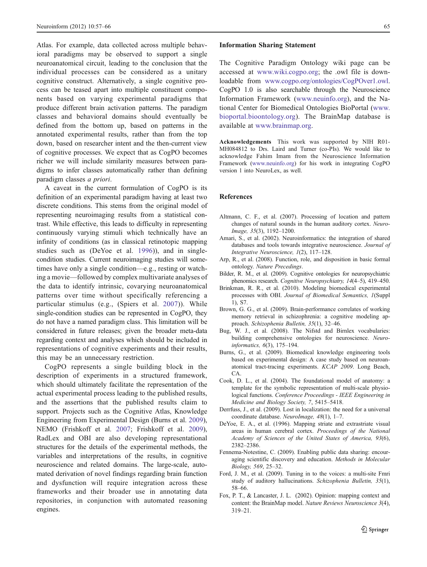<span id="page-8-0"></span>Atlas. For example, data collected across multiple behavioral paradigms may be observed to support a single neuroanatomical circuit, leading to the conclusion that the individual processes can be considered as a unitary cognitive construct. Alternatively, a single cognitive process can be teased apart into multiple constituent components based on varying experimental paradigms that produce different brain activation patterns. The paradigm classes and behavioral domains should eventually be defined from the bottom up, based on patterns in the annotated experimental results, rather than from the top down, based on researcher intent and the then-current view of cognitive processes. We expect that as CogPO becomes richer we will include similarity measures between paradigms to infer classes automatically rather than defining paradigm classes a priori.

A caveat in the current formulation of CogPO is its definition of an experimental paradigm having at least two discrete conditions. This stems from the original model of representing neuroimaging results from a statistical contrast. While effective, this leads to difficulty in representing continuously varying stimuli which technically have an infinity of conditions (as in classical retinotopic mapping studies such as (DeYoe et al. 1996)), and in singlecondition studies. Current neuroimaging studies will sometimes have only a single condition—e.g., resting or watching a movie—followed by complex multivariate analyses of the data to identify intrinsic, covarying neuroanatomical patterns over time without specifically referencing a particular stimulus (e.g., (Spiers et al. [2007](#page-9-0))). While single-condition studies can be represented in CogPO, they do not have a named paradigm class. This limitation will be considered in future releases; given the broader meta-data regarding context and analyses which should be included in representations of cognitive experiments and their results, this may be an unnecessary restriction.

CogPO represents a single building block in the description of experiments in a structured framework, which should ultimately facilitate the representation of the actual experimental process leading to the published results, and the assertions that the published results claim to support. Projects such as the Cognitive Atlas, Knowledge Engineering from Experimental Design (Burns et al. 2009), NEMO (Frishkoff et al. [2007](#page-9-0); Frishkoff et al. [2009](#page-9-0)), RadLex and OBI are also developing representational structures for the details of the experimental methods, the variables and interpretations of the results, in cognitive neuroscience and related domains. The large-scale, automated derivation of novel findings regarding brain function and dysfunction will require integration across these frameworks and their broader use in annotating data repositories, in conjunction with automated reasoning engines.

#### Information Sharing Statement

The Cognitive Paradigm Ontology wiki page can be accessed at [www.wiki.cogpo.org;](http://www.wiki.cogpo.org) the .owl file is downloadable from [www.cogpo.org/ontologies/CogPOver1.owl.](http://www.cogpo.org/ontologies/CogPOver1.owl) CogPO 1.0 is also searchable through the Neuroscience Information Framework ([www.neuinfo.org](http://www.neuinfo.org)), and the National Center for Biomedical Ontologies BioPortal ([www.](http://www.bioportal.bioontology.org) [bioportal.bioontology.org](http://www.bioportal.bioontology.org)). The BrainMap database is available at [www.brainmap.org](http://www.brainmap.org).

Acknowledgements This work was supported by NIH R01- MH084812 to Drs. Laird and Turner (co-PIs). We would like to acknowledge Fahim Imam from the Neuroscience Information Framework ([www.neuinfo.org\)](www.neuinfo.org) for his work in integrating CogPO version 1 into NeuroLex, as well.

#### References

- Altmann, C. F., et al. (2007). Processing of location and pattern changes of natural sounds in the human auditory cortex. Neuro-Image, 35(3), 1192–1200.
- Amari, S., et al. (2002). Neuroinformatics: the integration of shared databases and tools towards integrative neuroscience. Journal of Integrative Neuroscience, 1(2), 117–128.
- Arp, R., et al. (2008). Function, role, and disposition in basic formal ontology. Nature Precedings.
- Bilder, R. M., et al. (2009). Cognitive ontologies for neuropsychiatric phenomics research. Cognitive Neuropsychiatry, 14(4–5), 419–450.
- Brinkman, R. R., et al. (2010). Modeling biomedical experimental processes with OBI. Journal of Biomedical Semantics, 1(Suppl 1), S7.
- Brown, G. G., et al. (2009). Brain-performance correlates of working memory retrieval in schizophrenia: a cognitive modeling approach. Schizophenia Bulletin, 35(1), 32–46.
- Bug, W. J., et al. (2008). The Nifstd and Birnlex vocabularies: building comprehensive ontologies for neuroscience. Neuroinformatics, 6(3), 175–194.
- Burns, G., et al. (2009). Biomedical knowledge engineering tools based on experimental design: A case study based on neuroanatomical tract-tracing experiments. KCAP 2009. Long Beach, CA.
- Cook, D. L., et al. (2004). The foundational model of anatomy: a template for the symbolic representation of multi-scale physiological functions. Conference Proceedings - IEEE Engineering in Medicine and Biology Society, 7, 5415–5418.
- Derrfuss, J., et al. (2009). Lost in localization: the need for a universal coordinate database. NeuroImage, 48(1), 1–7.
- DeYoe, E. A., et al. (1996). Mapping striate and extrastriate visual areas in human cerebral cortex. Proceedings of the National Academy of Sciences of the United States of America, 93(6), 2382–2386.
- Fennema-Notestine, C. (2009). Enabling public data sharing: encouraging scientific discovery and education. Methods in Molecular Biology, 569, 25–32.
- Ford, J. M., et al. (2009). Tuning in to the voices: a multi-site Fmri study of auditory hallucinations. Schizophenia Bulletin, 35(1), 58–66.
- Fox, P. T., & Lancaster, J. L. (2002). Opinion: mapping context and content: the BrainMap model. Nature Reviews Neuroscience 3(4), 319–21.